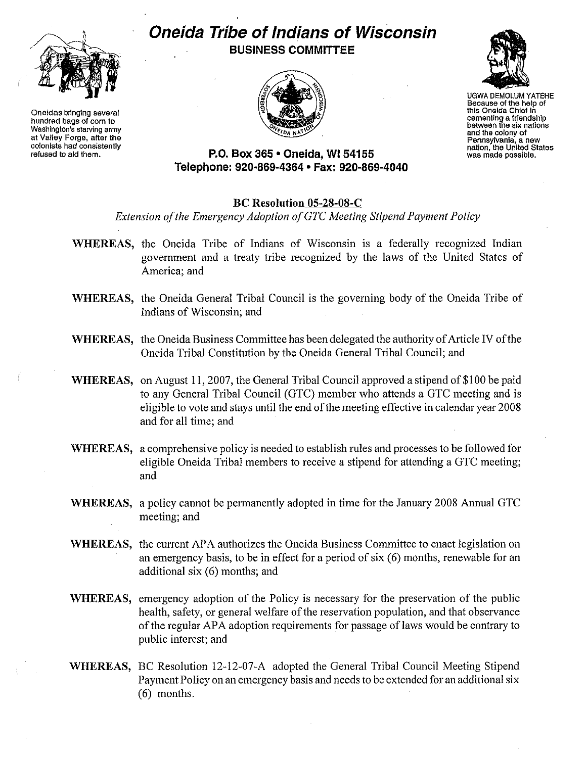

**Oneidas bringing several hundred bags of corn to Washington's starving army at Valley Forge, after the colonists had consistently refused to aId them.**

## **Oneida Tribe of Indians of Wisconsin BUSINESS COMMITTEE**





UGWA DEMOLUM YATEHE **Because of the help of this Oneida ChIef in cementing a friendshIp between the six nations and the colony of Pennsylvania, a new nation, the United States was made possible.**

**P.O. Box 365' Oneida,** WI 54155 **Telephone: 920·869·4364 • Fax: 920-869-4040**

## **BC Resolution 05-28-08-C**

*Extension o/the Emergency Adoption o/GTe Meeting Stipend Payment Policy*

- **WHEREAS,** the Oneida Tribe of Indians of Wisconsin is a federally recognized Indian government and a treaty tribe recognized by the laws of the United States of America; and
- **WHEREAS,** the Oneida General Tribal Council is the governing body of the Oneida Tribe of Indians of Wisconsin; and
- **WHEREAS,** the Oneida Business Committee has been delegated the authority of Article IV of the Oneida Tribal Constitution by the Oneida General Tribal Council; and
- WHEREAS, on August 11, 2007, the General Tribal Council approved a stipend of \$100 be paid to any General Tribal Council (GTC) member who attends a GTC meeting and is eligible to vote and stays until the end ofthe meeting effective in calendar year 2008 and for all time; and
- **WHEREAS,** a comprehensive policy is needed to establish mles and processes to be followed for eligible Oneida Tribal members to receive a stipend for attending a GTC meeting; and
- **WHEREAS,** a policy cannot be permanently adopted in time for the January 2008 Annual GTC meeting; and
- **WHEREAS,** the current APA authorizes the Oneida Business Committee to enact legislation on an emergency basis, to be in effect for a period of  $s$ ix  $(6)$  months, renewable for an additional six (6) months; and
- **WHEREAS,** emergency adoption of the Policy is necessary for the preservation of the public health, safety, or general welfare of the reservation population, and that observance of the regular APA adoption requirements for passage of laws would be contrary to public interest; and
- **WHEREAS,** BC Resolution l2-l2-07-A adopted the General Tribal Council Meeting Stipend Payment Policy on an emergency basis and needs to be extended for an additional six (6) months.